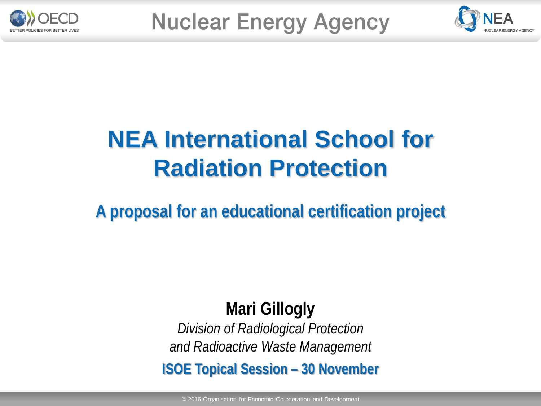



## **NEA International School for Radiation Protection**

**A proposal for an educational certification project**

### **Mari Gillogly**

*Division of Radiological Protection and Radioactive Waste Management*

**ISOE Topical Session – 30 November**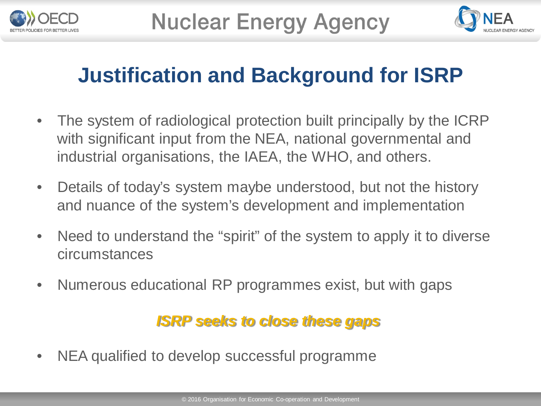



### **Justification and Background for ISRP**

- The system of radiological protection built principally by the ICRP with significant input from the NEA, national governmental and industrial organisations, the IAEA, the WHO, and others.
- Details of today's system maybe understood, but not the history and nuance of the system's development and implementation
- Need to understand the "spirit" of the system to apply it to diverse circumstances
- Numerous educational RP programmes exist, but with gaps

#### *ISRP seeks to close these gaps*

• NEA qualified to develop successful programme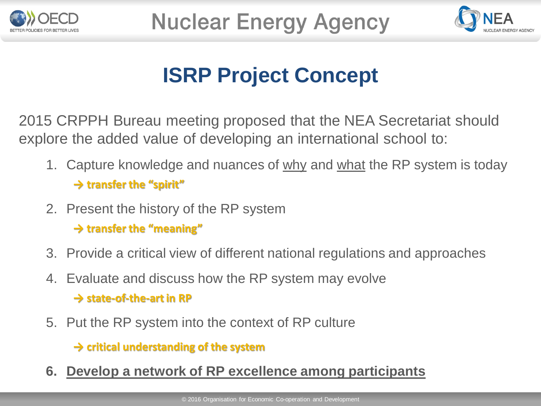



### **ISRP Project Concept**

2015 CRPPH Bureau meeting proposed that the NEA Secretariat should explore the added value of developing an international school to:

- 1. Capture knowledge and nuances of why and what the RP system is today **→ transfer the "spirit"**
- 2. Present the history of the RP system

**→ transfer the "meaning"**

- 3. Provide a critical view of different national regulations and approaches
- 4. Evaluate and discuss how the RP system may evolve **→ state-of-the-art in RP**
- 5. Put the RP system into the context of RP culture

**→ critical understanding of the system** 

**6. Develop a network of RP excellence among participants**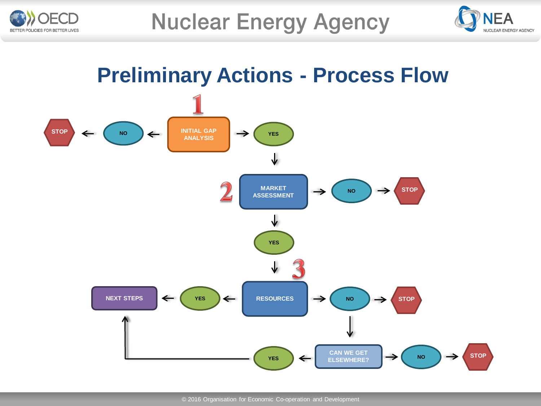



### **Preliminary Actions - Process Flow**

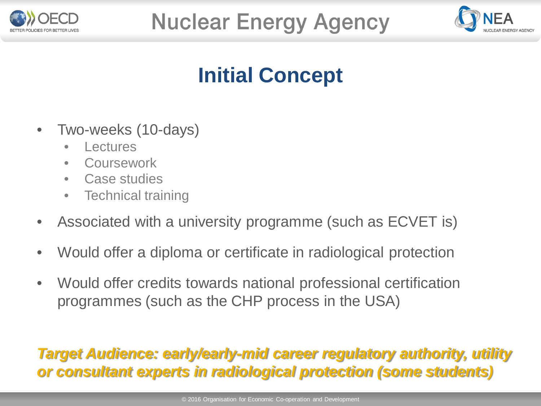



### **Initial Concept**

- Two-weeks (10-days)
	- **Lectures**
	- **Coursework**
	- Case studies
	- Technical training
- Associated with a university programme (such as ECVET is)
- Would offer a diploma or certificate in radiological protection
- Would offer credits towards national professional certification programmes (such as the CHP process in the USA)

#### *Target Audience: early/early-mid career regulatory authority, utility or consultant experts in radiological protection (some students)*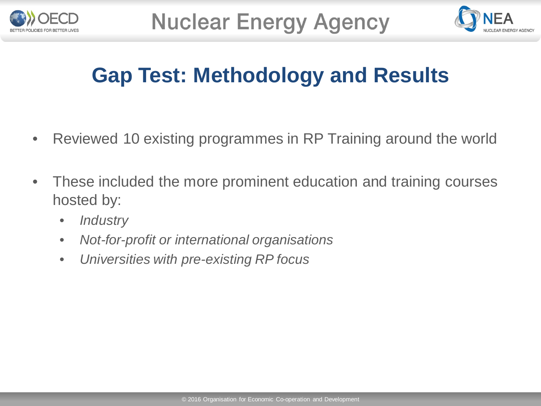



### **Gap Test: Methodology and Results**

- Reviewed 10 existing programmes in RP Training around the world
- These included the more prominent education and training courses hosted by:
	- *Industry*
	- *Not-for-profit or international organisations*
	- *Universities with pre-existing RP focus*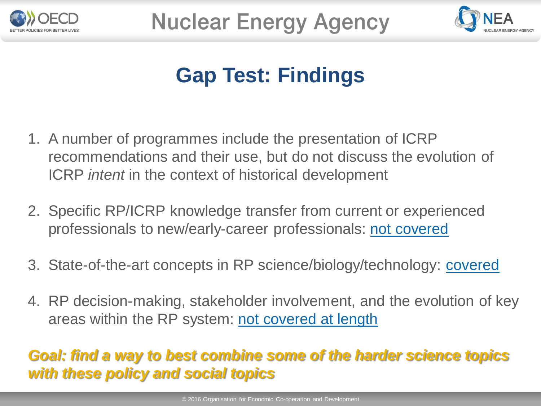



### **Gap Test: Findings**

- 1. A number of programmes include the presentation of ICRP recommendations and their use, but do not discuss the evolution of ICRP *intent* in the context of historical development
- 2. Specific RP/ICRP knowledge transfer from current or experienced professionals to new/early-career professionals: not covered
- 3. State-of-the-art concepts in RP science/biology/technology: covered
- 4. RP decision-making, stakeholder involvement, and the evolution of key areas within the RP system: not covered at length

#### *Goal: find a way to best combine some of the harder science topics with these policy and social topics*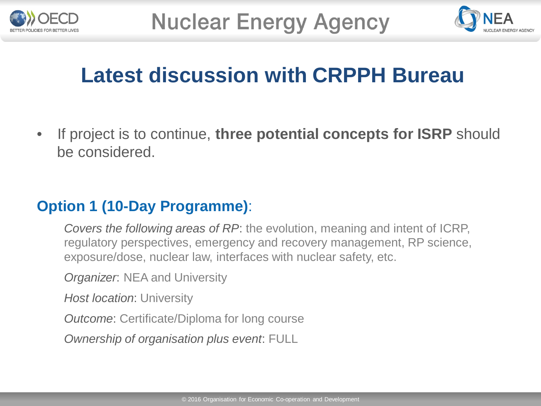



### **Latest discussion with CRPPH Bureau**

• If project is to continue, **three potential concepts for ISRP** should be considered.

#### **Option 1 (10-Day Programme)**:

*Covers the following areas of RP*: the evolution, meaning and intent of ICRP, regulatory perspectives, emergency and recovery management, RP science, exposure/dose, nuclear law, interfaces with nuclear safety, etc.

*Organizer*: NEA and University

*Host location*: University

*Outcome*: Certificate/Diploma for long course

*Ownership of organisation plus event*: FULL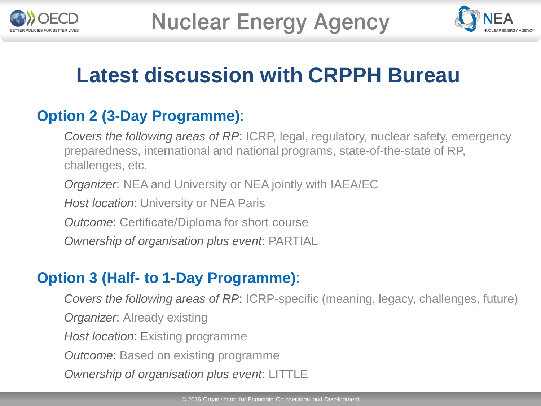



### **Latest discussion with CRPPH Bureau**

#### **Option 2 (3-Day Programme)**:

*Covers the following areas of RP*: ICRP, legal, regulatory, nuclear safety, emergency preparedness, international and national programs, state-of-the-state of RP, challenges, etc.

*Organizer*: NEA and University or NEA jointly with IAEA/EC

*Host location*: University or NEA Paris

*Outcome*: Certificate/Diploma for short course

*Ownership of organisation plus event*: PARTIAL

#### **Option 3 (Half- to 1-Day Programme)**:

*Covers the following areas of RP*: ICRP-specific (meaning, legacy, challenges, future) *Organizer*: Already existing *Host location*: Existing programme *Outcome*: Based on existing programme *Ownership of organisation plus event*: LITTLE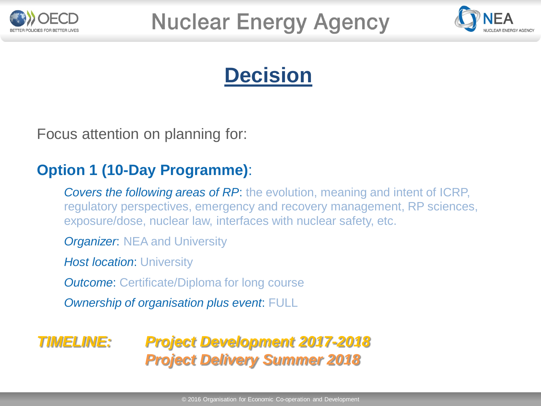



### **Decision**

Focus attention on planning for:

#### **Option 1 (10-Day Programme)**:

*Covers the following areas of RP*: the evolution, meaning and intent of ICRP, regulatory perspectives, emergency and recovery management, RP sciences, exposure/dose, nuclear law, interfaces with nuclear safety, etc.

*Organizer*: NEA and University

*Host location*: University

*Outcome*: Certificate/Diploma for long course

*Ownership of organisation plus event*: FULL

#### *TIMELINE: Project Development 2017-2018 Project Delivery Summer 2018*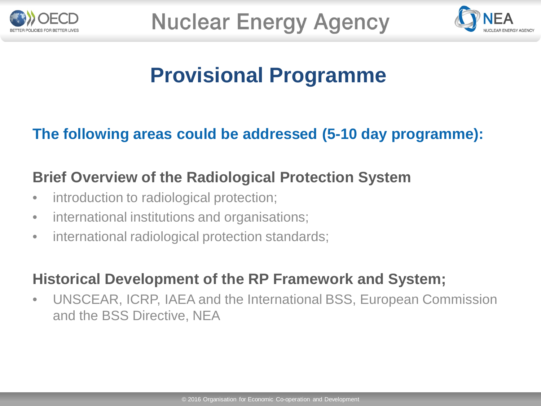



### **Provisional Programme**

#### **The following areas could be addressed (5-10 day programme):**

#### **Brief Overview of the Radiological Protection System**

- introduction to radiological protection;
- international institutions and organisations;
- international radiological protection standards;

#### **Historical Development of the RP Framework and System;**

• UNSCEAR, ICRP, IAEA and the International BSS, European Commission and the BSS Directive, NEA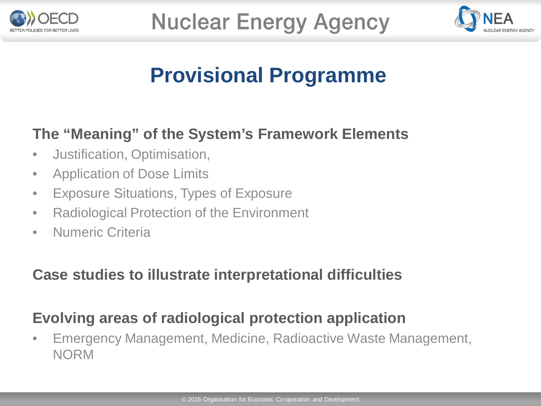



### **Provisional Programme**

#### **The "Meaning" of the System's Framework Elements**

- Justification, Optimisation,
- Application of Dose Limits
- Exposure Situations, Types of Exposure
- Radiological Protection of the Environment
- Numeric Criteria

#### **Case studies to illustrate interpretational difficulties**

### **Evolving areas of radiological protection application**

• Emergency Management, Medicine, Radioactive Waste Management, NORM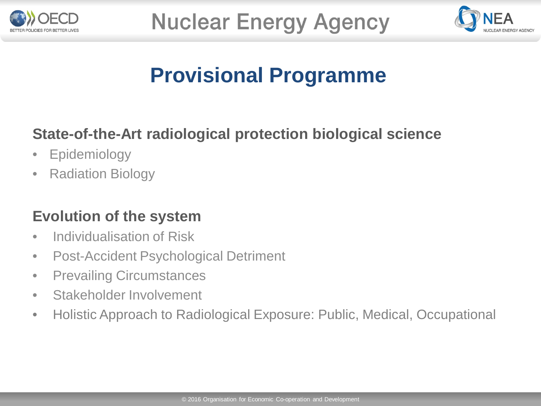



### **Provisional Programme**

### **State-of-the-Art radiological protection biological science**

- Epidemiology
- Radiation Biology

#### **Evolution of the system**

- Individualisation of Risk
- Post-Accident Psychological Detriment
- Prevailing Circumstances
- Stakeholder Involvement
- Holistic Approach to Radiological Exposure: Public, Medical, Occupational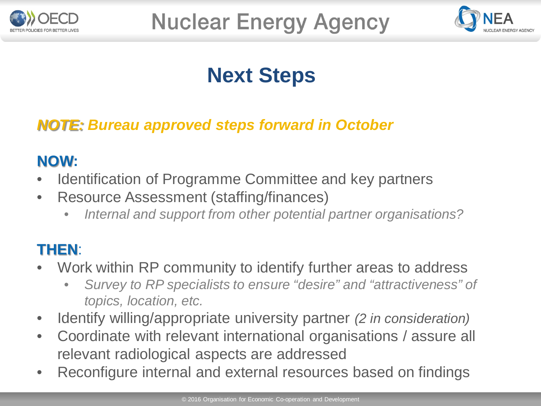



### **Next Steps**

#### *NOTE: Bureau approved steps forward in October*

#### **NOW:**

- Identification of Programme Committee and key partners
- Resource Assessment (staffing/finances)
	- *Internal and support from other potential partner organisations?*

#### **THEN**:

- Work within RP community to identify further areas to address
	- *Survey to RP specialists to ensure "desire" and "attractiveness" of topics, location, etc.*
- Identify willing/appropriate university partner *(2 in consideration)*
- Coordinate with relevant international organisations / assure all relevant radiological aspects are addressed
- Reconfigure internal and external resources based on findings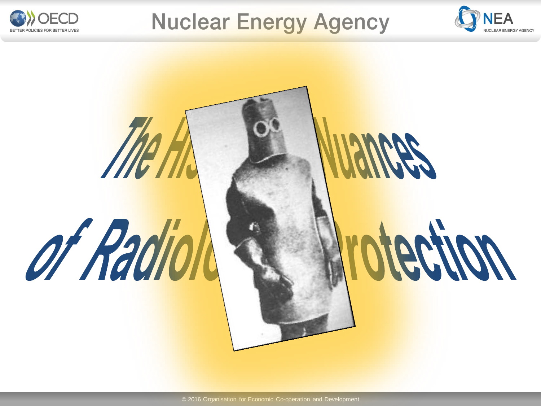